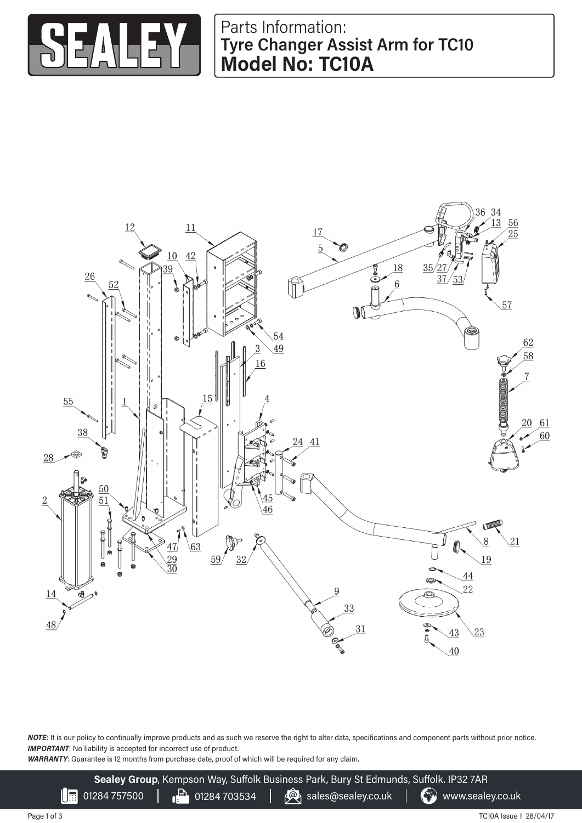

## Parts Information: **Tyre Changer Assist Arm for TC10 Model No: TC10A**



*NOTE*: It is our policy to continually improve products and as such we reserve the right to alter data, specifications and component parts without prior notice. **IMPORTANT:** No liability is accepted for incorrect use of product.

*WARRANTY*: Guarantee is 12 months from purchase date, proof of which will be required for any claim.

**Sealey Group**, Kempson Way, Suffolk Business Park, Bury St Edmunds, Suffolk. IP32 7AR 01284 757500  $\begin{array}{|c|c|c|c|c|}\n\hline\n\end{array}$  01284 703534  $\begin{array}{|c|c|c|c|}\n\hline\n\end{array}$  www.sealey.co.uk

Page 1 of 3

 $\mathbb{I}$  :

TC10A Issue 1 28/04/17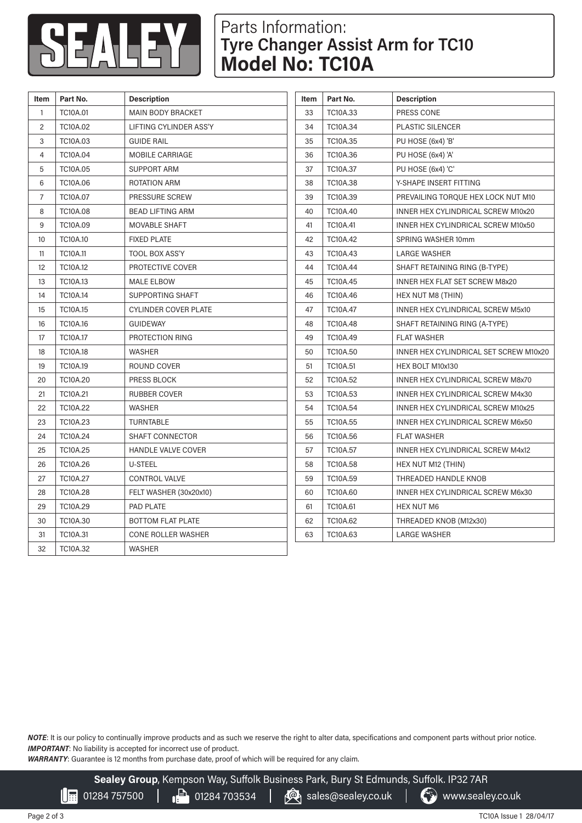

## Parts Information: **Tyre Changer Assist Arm for TC10 Model No: TC10A**

| <b>Item</b>    | Part No.        | <b>Description</b>          | Item | Part No.        | <b>Description</b>                        |
|----------------|-----------------|-----------------------------|------|-----------------|-------------------------------------------|
| $\mathbf{1}$   | <b>TC10A.01</b> | <b>MAIN BODY BRACKET</b>    | 33   | TC10A.33        | PRESS CONE                                |
| $\mathbf{2}$   | <b>TC10A.02</b> | LIFTING CYLINDER ASS'Y      | 34   | <b>TC10A.34</b> | <b>PLASTIC SILENCER</b>                   |
| 3              | <b>TC10A.03</b> | <b>GUIDE RAIL</b>           | 35   | <b>TC10A.35</b> | PU HOSE (6x4) 'B'                         |
| $\overline{4}$ | TC10A.04        | MOBILE CARRIAGE             | 36   | TC10A.36        | PU HOSE (6x4) 'A'                         |
| 5              | <b>TC10A.05</b> | <b>SUPPORT ARM</b>          | 37   | <b>TC10A.37</b> | PU HOSE (6x4) 'C'                         |
| 6              | TC10A.06        | ROTATION ARM                | 38   | TC10A.38        | Y-SHAPE INSERT FITTING                    |
| $\overline{7}$ | TC10A.07        | PRESSURE SCREW              | 39   | TC10A.39        | PREVAILING TORQUE HEX LOCK NUT M10        |
| 8              | <b>TC10A.08</b> | <b>BEAD LIFTING ARM</b>     | 40   | TC10A.40        | INNER HEX CYLINDRICAL SCREW M10x20        |
| 9              | <b>TC10A.09</b> | <b>MOVABLE SHAFT</b>        | 41   | <b>TC10A.41</b> | INNER HEX CYLINDRICAL SCREW M10x50        |
| 10             | TC10A.10        | <b>FIXED PLATE</b>          | 42   | <b>TC10A.42</b> | SPRING WASHER 10mm                        |
| 11             | <b>TC10A.11</b> | <b>TOOL BOX ASS'Y</b>       | 43   | <b>TC10A.43</b> | <b>LARGE WASHER</b>                       |
| 12             | TC10A.12        | PROTECTIVE COVER            | 44   | <b>TC10A.44</b> | SHAFT RETAINING RING (B-TYPE)             |
| 13             | TC10A.13        | <b>MALE ELBOW</b>           | 45   | <b>TC10A.45</b> | <b>INNER HEX FLAT SET SCREW M8x20</b>     |
| 14             | <b>TC10A.14</b> | <b>SUPPORTING SHAFT</b>     | 46   | TC10A.46        | HEX NUT M8 (THIN)                         |
| 15             | TC10A.15        | <b>CYLINDER COVER PLATE</b> | 47   | <b>TC10A.47</b> | <b>INNER HEX CYLINDRICAL SCREW M5x10</b>  |
| 16             | <b>TC10A.16</b> | <b>GUIDEWAY</b>             | 48   | TC10A.48        | SHAFT RETAINING RING (A-TYPE)             |
| 17             | <b>TC10A.17</b> | PROTECTION RING             | 49   | <b>TC10A.49</b> | <b>FLAT WASHER</b>                        |
| 18             | TC10A.18        | <b>WASHER</b>               | 50   | TC10A.50        | INNER HEX CYLINDRICAL SET SCREW M10x20    |
| 19             | <b>TC10A.19</b> | ROUND COVER                 | 51   | <b>TC10A.51</b> | HEX BOLT M10x130                          |
| 20             | <b>TC10A.20</b> | PRESS BLOCK                 | 52   | <b>TC10A.52</b> | INNER HEX CYLINDRICAL SCREW M8x70         |
| 21             | TC10A.21        | <b>RUBBER COVER</b>         | 53   | <b>TC10A.53</b> | INNER HEX CYLINDRICAL SCREW M4x30         |
| 22             | <b>TC10A.22</b> | <b>WASHER</b>               | 54   | <b>TC10A.54</b> | <b>INNER HEX CYLINDRICAL SCREW M10x25</b> |
| 23             | <b>TC10A.23</b> | <b>TURNTABLE</b>            | 55   | <b>TC10A.55</b> | INNER HEX CYLINDRICAL SCREW M6x50         |
| 24             | <b>TC10A.24</b> | <b>SHAFT CONNECTOR</b>      | 56   | TC10A.56        | <b>FLAT WASHER</b>                        |
| 25             | <b>TC10A.25</b> | <b>HANDLE VALVE COVER</b>   | 57   | <b>TC10A.57</b> | <b>INNER HEX CYLINDRICAL SCREW M4x12</b>  |
| 26             | <b>TC10A.26</b> | U-STEEL                     | 58   | <b>TC10A.58</b> | HEX NUT M12 (THIN)                        |
| 27             | <b>TC10A.27</b> | <b>CONTROL VALVE</b>        | 59   | <b>TC10A.59</b> | THREADED HANDLE KNOB                      |
| 28             | <b>TC10A.28</b> | FELT WASHER (30x20x10)      | 60   | <b>TC10A.60</b> | <b>INNER HEX CYLINDRICAL SCREW M6x30</b>  |
| 29             | <b>TC10A.29</b> | <b>PAD PLATE</b>            | 61   | <b>TC10A.61</b> | <b>HEX NUT M6</b>                         |
| 30             | TC10A.30        | <b>BOTTOM FLAT PLATE</b>    | 62   | TC10A.62        | THREADED KNOB (M12x30)                    |
| 31             | TC10A.31        | CONE ROLLER WASHER          | 63   | TC10A.63        | <b>LARGE WASHER</b>                       |
| 32             | <b>TC10A.32</b> | <b>WASHER</b>               |      |                 |                                           |

*NOTE*: It is our policy to continually improve products and as such we reserve the right to alter data, specifications and component parts without prior notice. **IMPORTANT:** No liability is accepted for incorrect use of product.

*WARRANTY*: Guarantee is 12 months from purchase date, proof of which will be required for any claim.

**Sealey Group**, Kempson Way, Suffolk Business Park, Bury St Edmunds, Suffolk. IP32 7AR

 $\left[\begin{array}{ccc} \text{H} & 01284\ 757500 & | & \end{array}\right]$  01284 703534  $\left[\begin{array}{ccc} \bigcirc \text{A} & \text{S} \\ \text{B} & \text{S} & \text{S} \end{array}\right]$  www.sealey.co.uk

TC10A Issue 1 28/04/17